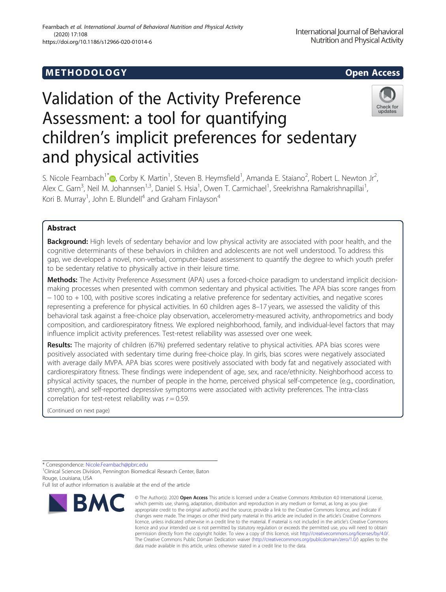## M E THODO L OGY Open Access



Check for update:

# Validation of the Activity Preference Assessment: a tool for quantifying children's implicit preferences for sedentary and physical activities

S. Nicole Fearnbach<sup>1\*</sup>�[,](http://orcid.org/0000-0001-9208-830X) Corby K. Martin<sup>1</sup>, Steven B. Heymsfield<sup>1</sup>, Amanda E. Staiano<sup>2</sup>, Robert L. Newton Jr<sup>2</sup> , Alex C. Garn<sup>3</sup>, Neil M. Johannsen<sup>1,3</sup>, Daniel S. Hsia<sup>1</sup>, Owen T. Carmichael<sup>1</sup>, Sreekrishna Ramakrishnapillai<sup>1</sup> , Kori B. Murray<sup>1</sup>, John E. Blundell<sup>4</sup> and Graham Finlayson<sup>4</sup>

## Abstract

Background: High levels of sedentary behavior and low physical activity are associated with poor health, and the cognitive determinants of these behaviors in children and adolescents are not well understood. To address this gap, we developed a novel, non-verbal, computer-based assessment to quantify the degree to which youth prefer to be sedentary relative to physically active in their leisure time.

Methods: The Activity Preference Assessment (APA) uses a forced-choice paradigm to understand implicit decisionmaking processes when presented with common sedentary and physical activities. The APA bias score ranges from − 100 to + 100, with positive scores indicating a relative preference for sedentary activities, and negative scores representing a preference for physical activities. In 60 children ages 8–17 years, we assessed the validity of this behavioral task against a free-choice play observation, accelerometry-measured activity, anthropometrics and body composition, and cardiorespiratory fitness. We explored neighborhood, family, and individual-level factors that may influence implicit activity preferences. Test-retest reliability was assessed over one week.

Results: The majority of children (67%) preferred sedentary relative to physical activities. APA bias scores were positively associated with sedentary time during free-choice play. In girls, bias scores were negatively associated with average daily MVPA. APA bias scores were positively associated with body fat and negatively associated with cardiorespiratory fitness. These findings were independent of age, sex, and race/ethnicity. Neighborhood access to physical activity spaces, the number of people in the home, perceived physical self-competence (e.g., coordination, strength), and self-reported depressive symptoms were associated with activity preferences. The intra-class correlation for test-retest reliability was  $r = 0.59$ .

(Continued on next page)

<sup>1</sup> Clinical Sciences Division, Pennington Biomedical Research Center, Baton Rouge, Louisiana, USA

Full list of author information is available at the end of the article



<sup>©</sup> The Author(s), 2020 **Open Access** This article is licensed under a Creative Commons Attribution 4.0 International License, which permits use, sharing, adaptation, distribution and reproduction in any medium or format, as long as you give appropriate credit to the original author(s) and the source, provide a link to the Creative Commons licence, and indicate if changes were made. The images or other third party material in this article are included in the article's Creative Commons licence, unless indicated otherwise in a credit line to the material. If material is not included in the article's Creative Commons licence and your intended use is not permitted by statutory regulation or exceeds the permitted use, you will need to obtain permission directly from the copyright holder. To view a copy of this licence, visit [http://creativecommons.org/licenses/by/4.0/.](http://creativecommons.org/licenses/by/4.0/) The Creative Commons Public Domain Dedication waiver [\(http://creativecommons.org/publicdomain/zero/1.0/](http://creativecommons.org/publicdomain/zero/1.0/)) applies to the data made available in this article, unless otherwise stated in a credit line to the data.

<sup>\*</sup> Correspondence: [Nicole.Fearnbach@pbrc.edu](mailto:Nicole.Fearnbach@pbrc.edu) <sup>1</sup>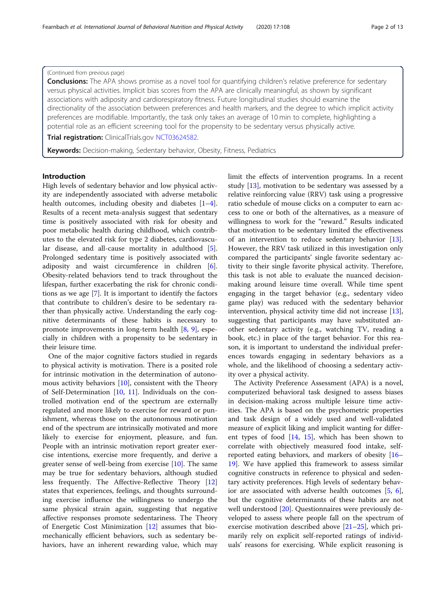## (Continued from previous page)

**Conclusions:** The APA shows promise as a novel tool for quantifying children's relative preference for sedentary versus physical activities. Implicit bias scores from the APA are clinically meaningful, as shown by significant associations with adiposity and cardiorespiratory fitness. Future longitudinal studies should examine the directionality of the association between preferences and health markers, and the degree to which implicit activity preferences are modifiable. Importantly, the task only takes an average of 10 min to complete, highlighting a potential role as an efficient screening tool for the propensity to be sedentary versus physically active.

Trial registration: ClinicalTrials.gov [NCT03624582](https://clinicaltrials.gov/ct2/show/NCT03624582).

Keywords: Decision-making, Sedentary behavior, Obesity, Fitness, Pediatrics

## Introduction

High levels of sedentary behavior and low physical activity are independently associated with adverse metabolic health outcomes, including obesity and diabetes [\[1](#page-11-0)–[4](#page-11-0)]. Results of a recent meta-analysis suggest that sedentary time is positively associated with risk for obesity and poor metabolic health during childhood, which contributes to the elevated risk for type 2 diabetes, cardiovascular disease, and all-cause mortality in adulthood [\[5](#page-11-0)]. Prolonged sedentary time is positively associated with adiposity and waist circumference in children [\[6](#page-11-0)]. Obesity-related behaviors tend to track throughout the lifespan, further exacerbating the risk for chronic conditions as we age [\[7](#page-11-0)]. It is important to identify the factors that contribute to children's desire to be sedentary rather than physically active. Understanding the early cognitive determinants of these habits is necessary to promote improvements in long-term health [[8,](#page-11-0) [9](#page-11-0)], especially in children with a propensity to be sedentary in their leisure time.

One of the major cognitive factors studied in regards to physical activity is motivation. There is a posited role for intrinsic motivation in the determination of autonomous activity behaviors [\[10](#page-11-0)], consistent with the Theory of Self-Determination [[10,](#page-11-0) [11\]](#page-11-0). Individuals on the controlled motivation end of the spectrum are externally regulated and more likely to exercise for reward or punishment, whereas those on the autonomous motivation end of the spectrum are intrinsically motivated and more likely to exercise for enjoyment, pleasure, and fun. People with an intrinsic motivation report greater exercise intentions, exercise more frequently, and derive a greater sense of well-being from exercise [[10\]](#page-11-0). The same may be true for sedentary behaviors, although studied less frequently. The Affective-Reflective Theory [[12](#page-11-0)] states that experiences, feelings, and thoughts surrounding exercise influence the willingness to undergo the same physical strain again, suggesting that negative affective responses promote sedentariness. The Theory of Energetic Cost Minimization [\[12\]](#page-11-0) assumes that biomechanically efficient behaviors, such as sedentary behaviors, have an inherent rewarding value, which may limit the effects of intervention programs. In a recent study [\[13\]](#page-11-0), motivation to be sedentary was assessed by a relative reinforcing value (RRV) task using a progressive ratio schedule of mouse clicks on a computer to earn access to one or both of the alternatives, as a measure of willingness to work for the "reward." Results indicated that motivation to be sedentary limited the effectiveness of an intervention to reduce sedentary behavior [\[13](#page-11-0)]. However, the RRV task utilized in this investigation only compared the participants' single favorite sedentary activity to their single favorite physical activity. Therefore, this task is not able to evaluate the nuanced decisionmaking around leisure time overall. While time spent engaging in the target behavior (e.g., sedentary video game play) was reduced with the sedentary behavior intervention, physical activity time did not increase [\[13](#page-11-0)], suggesting that participants may have substituted another sedentary activity (e.g., watching TV, reading a book, etc.) in place of the target behavior. For this reason, it is important to understand the individual preferences towards engaging in sedentary behaviors as a whole, and the likelihood of choosing a sedentary activity over a physical activity.

The Activity Preference Assessment (APA) is a novel, computerized behavioral task designed to assess biases in decision-making across multiple leisure time activities. The APA is based on the psychometric properties and task design of a widely used and well-validated measure of explicit liking and implicit wanting for different types of food  $[14, 15]$  $[14, 15]$  $[14, 15]$  $[14, 15]$ , which has been shown to correlate with objectively measured food intake, selfreported eating behaviors, and markers of obesity [[16](#page-11-0)– [19\]](#page-11-0). We have applied this framework to assess similar cognitive constructs in reference to physical and sedentary activity preferences. High levels of sedentary behavior are associated with adverse health outcomes [[5,](#page-11-0) [6](#page-11-0)], but the cognitive determinants of these habits are not well understood [\[20](#page-11-0)]. Questionnaires were previously developed to assess where people fall on the spectrum of exercise motivation described above [\[21](#page-11-0)–[25\]](#page-11-0), which primarily rely on explicit self-reported ratings of individuals' reasons for exercising. While explicit reasoning is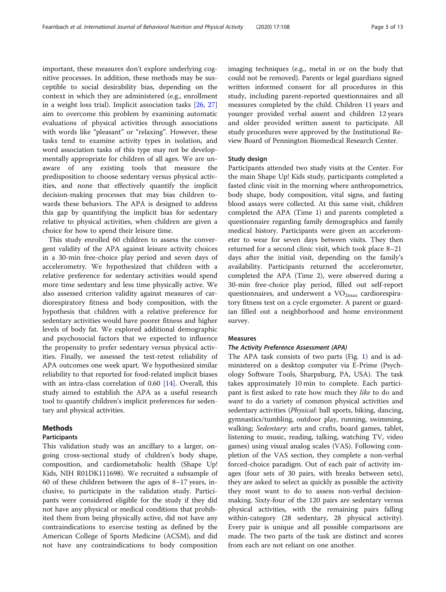important, these measures don't explore underlying cognitive processes. In addition, these methods may be susceptible to social desirability bias, depending on the context in which they are administered (e.g., enrollment in a weight loss trial). Implicit association tasks [[26,](#page-11-0) [27](#page-11-0)] aim to overcome this problem by examining automatic evaluations of physical activities through associations with words like "pleasant" or "relaxing". However, these tasks tend to examine activity types in isolation, and word association tasks of this type may not be developmentally appropriate for children of all ages. We are unaware of any existing tools that measure the predisposition to choose sedentary versus physical activities, and none that effectively quantify the implicit decision-making processes that may bias children towards these behaviors. The APA is designed to address this gap by quantifying the implicit bias for sedentary relative to physical activities, when children are given a choice for how to spend their leisure time.

This study enrolled 60 children to assess the convergent validity of the APA against leisure activity choices in a 30-min free-choice play period and seven days of accelerometry. We hypothesized that children with a relative preference for sedentary activities would spend more time sedentary and less time physically active. We also assessed criterion validity against measures of cardiorespiratory fitness and body composition, with the hypothesis that children with a relative preference for sedentary activities would have poorer fitness and higher levels of body fat. We explored additional demographic and psychosocial factors that we expected to influence the propensity to prefer sedentary versus physical activities. Finally, we assessed the test-retest reliability of APA outcomes one week apart. We hypothesized similar reliability to that reported for food-related implicit biases with an intra-class correlation of 0.60 [\[14\]](#page-11-0). Overall, this study aimed to establish the APA as a useful research tool to quantify children's implicit preferences for sedentary and physical activities.

## Methods

## Participants

This validation study was an ancillary to a larger, ongoing cross-sectional study of children's body shape, composition, and cardiometabolic health (Shape Up! Kids, NIH R01DK111698). We recruited a subsample of 60 of these children between the ages of 8–17 years, inclusive, to participate in the validation study. Participants were considered eligible for the study if they did not have any physical or medical conditions that prohibited them from being physically active, did not have any contraindications to exercise testing as defined by the American College of Sports Medicine (ACSM), and did not have any contraindications to body composition imaging techniques (e.g., metal in or on the body that could not be removed). Parents or legal guardians signed written informed consent for all procedures in this study, including parent-reported questionnaires and all measures completed by the child. Children 11 years and younger provided verbal assent and children 12 years and older provided written assent to participate. All study procedures were approved by the Institutional Review Board of Pennington Biomedical Research Center.

#### Study design

Participants attended two study visits at the Center. For the main Shape Up! Kids study, participants completed a fasted clinic visit in the morning where anthropometrics, body shape, body composition, vital signs, and fasting blood assays were collected. At this same visit, children completed the APA (Time 1) and parents completed a questionnaire regarding family demographics and family medical history. Participants were given an accelerometer to wear for seven days between visits. They then returned for a second clinic visit, which took place 8–21 days after the initial visit, depending on the family's availability. Participants returned the accelerometer, completed the APA (Time 2), were observed during a 30-min free-choice play period, filled out self-report questionnaires, and underwent a  $VO<sub>2max</sub>$  cardiorespiratory fitness test on a cycle ergometer. A parent or guardian filled out a neighborhood and home environment survey.

#### Measures

## The Activity Preference Assessment (APA)

The APA task consists of two parts (Fig. [1](#page-3-0)) and is administered on a desktop computer via E-Prime (Psychology Software Tools, Sharpsburg, PA, USA). The task takes approximately 10 min to complete. Each participant is first asked to rate how much they like to do and want to do a variety of common physical activities and sedentary activities (*Physical*: ball sports, biking, dancing, gymnastics/tumbling, outdoor play, running, swimming, walking; Sedentary: arts and crafts, board games, tablet, listening to music, reading, talking, watching TV, video games) using visual analog scales (VAS). Following completion of the VAS section, they complete a non-verbal forced-choice paradigm. Out of each pair of activity images (four sets of 30 pairs, with breaks between sets), they are asked to select as quickly as possible the activity they most want to do to assess non-verbal decisionmaking. Sixty-four of the 120 pairs are sedentary versus physical activities, with the remaining pairs falling within-category (28 sedentary, 28 physical activity). Every pair is unique and all possible comparisons are made. The two parts of the task are distinct and scores from each are not reliant on one another.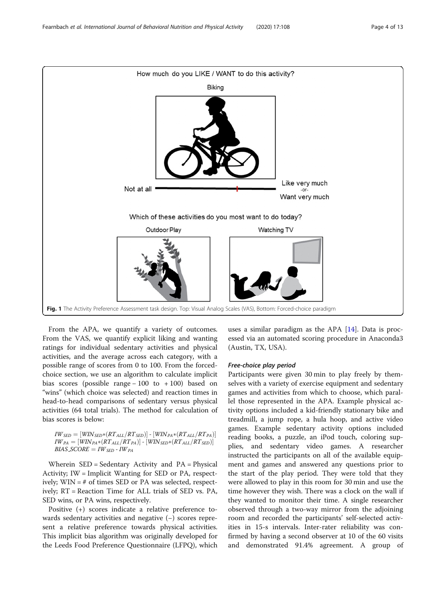<span id="page-3-0"></span>

From the APA, we quantify a variety of outcomes. From the VAS, we quantify explicit liking and wanting ratings for individual sedentary activities and physical activities, and the average across each category, with a possible range of scores from 0 to 100. From the forcedchoice section, we use an algorithm to calculate implicit bias scores (possible range − 100 to + 100) based on "wins" (which choice was selected) and reaction times in head-to-head comparisons of sedentary versus physical activities (64 total trials). The method for calculation of bias scores is below:

 $\begin{equation} \begin{aligned} \textit{IWIN}_{\textit{SED}} = \left[ \textit{WIN}_{\textit{SED}}\ast \textit{(RT}_{ALL}/\textit{RT}_{\textit{SED}}) \right] - \left[ \textit{WIN}_{\textit{PA}}\ast \textit{(RT}_{ALL}/\textit{RT}_{\textit{PA}}) \right] \end{aligned} \end{equation}$  $\begin{equation} \begin{aligned} \textit{IW} & D_\textit{PA} = \left[ \textit{WIN}_{\textit{PA}} \ast \left( \textit{RT}_{\textit{ALL}} / \textit{RT}_{\textit{PA}} \right) \right] - \left[ \textit{WIN}_{\textit{SED}} \ast \left( \textit{RT}_{\textit{ALL}} / \textit{RT}_{\textit{SED}} \right) \right] \end{aligned} \end{equation}$  $BIAS\_SCORE = IW_{SED} - IW_{PA}$ 

Wherein SED = Sedentary Activity and PA = Physical Activity; IW = Implicit Wanting for SED or PA, respectively; WIN = # of times SED or PA was selected, respectively; RT = Reaction Time for ALL trials of SED vs. PA, SED wins, or PA wins, respectively.

Positive (+) scores indicate a relative preference towards sedentary activities and negative (−) scores represent a relative preference towards physical activities. This implicit bias algorithm was originally developed for the Leeds Food Preference Questionnaire (LFPQ), which uses a similar paradigm as the APA [\[14\]](#page-11-0). Data is processed via an automated scoring procedure in Anaconda3 (Austin, TX, USA).

## Free-choice play period

Participants were given 30 min to play freely by themselves with a variety of exercise equipment and sedentary games and activities from which to choose, which parallel those represented in the APA. Example physical activity options included a kid-friendly stationary bike and treadmill, a jump rope, a hula hoop, and active video games. Example sedentary activity options included reading books, a puzzle, an iPod touch, coloring supplies, and sedentary video games. A researcher instructed the participants on all of the available equipment and games and answered any questions prior to the start of the play period. They were told that they were allowed to play in this room for 30 min and use the time however they wish. There was a clock on the wall if they wanted to monitor their time. A single researcher observed through a two-way mirror from the adjoining room and recorded the participants' self-selected activities in 15-s intervals. Inter-rater reliability was confirmed by having a second observer at 10 of the 60 visits and demonstrated 91.4% agreement. A group of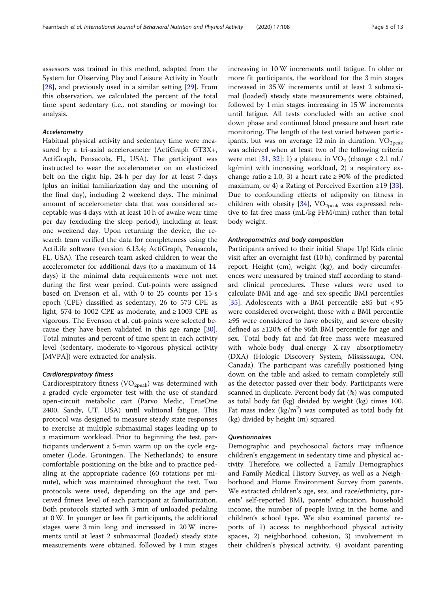assessors was trained in this method, adapted from the System for Observing Play and Leisure Activity in Youth [[28\]](#page-11-0), and previously used in a similar setting [[29\]](#page-11-0). From this observation, we calculated the percent of the total time spent sedentary (i.e., not standing or moving) for analysis.

## Accelerometry

Habitual physical activity and sedentary time were measured by a tri-axial accelerometer (ActiGraph GT3X+, ActiGraph, Pensacola, FL, USA). The participant was instructed to wear the accelerometer on an elasticized belt on the right hip, 24-h per day for at least 7-days (plus an initial familiarization day and the morning of the final day), including 2 weekend days. The minimal amount of accelerometer data that was considered acceptable was 4 days with at least 10 h of awake wear time per day (excluding the sleep period), including at least one weekend day. Upon returning the device, the research team verified the data for completeness using the ActiLife software (version 6.13.4; ActiGraph, Pensacola, FL, USA). The research team asked children to wear the accelerometer for additional days (to a maximum of 14 days) if the minimal data requirements were not met during the first wear period. Cut-points were assigned based on Evenson et al., with 0 to 25 counts per 15-s epoch (CPE) classified as sedentary, 26 to 573 CPE as light, 574 to 1002 CPE as moderate, and  $\geq 1003$  CPE as vigorous. The Evenson et al. cut-points were selected because they have been validated in this age range [\[30](#page-11-0)]. Total minutes and percent of time spent in each activity level (sedentary, moderate-to-vigorous physical activity [MVPA]) were extracted for analysis.

#### Cardiorespiratory fitness

Cardiorespiratory fitness  $(VO_{2peak})$  was determined with a graded cycle ergometer test with the use of standard open-circuit metabolic cart (Parvo Medic, TrueOne 2400, Sandy, UT, USA) until volitional fatigue. This protocol was designed to measure steady state responses to exercise at multiple submaximal stages leading up to a maximum workload. Prior to beginning the test, participants underwent a 5-min warm up on the cycle ergometer (Lode, Groningen, The Netherlands) to ensure comfortable positioning on the bike and to practice pedaling at the appropriate cadence (60 rotations per minute), which was maintained throughout the test. Two protocols were used, depending on the age and perceived fitness level of each participant at familiarization. Both protocols started with 3 min of unloaded pedaling at 0 W. In younger or less fit participants, the additional stages were 3 min long and increased in 20 W increments until at least 2 submaximal (loaded) steady state measurements were obtained, followed by 1 min stages increasing in 10 W increments until fatigue. In older or more fit participants, the workload for the 3 min stages increased in 35 W increments until at least 2 submaximal (loaded) steady state measurements were obtained, followed by 1 min stages increasing in 15 W increments until fatigue. All tests concluded with an active cool down phase and continued blood pressure and heart rate monitoring. The length of the test varied between participants, but was on average 12 min in duration.  $VO<sub>2peak</sub>$ was achieved when at least two of the following criteria were met [[31,](#page-11-0) [32\]](#page-11-0): 1) a plateau in  $VO<sub>2</sub>$  (change < 2.1 mL/ kg/min) with increasing workload, 2) a respiratory exchange ratio  $\geq 1.0$ , 3) a heart rate  $\geq 90\%$  of the predicted maximum, or 4) a Rating of Perceived Exertion  $\geq$ 19 [\[33](#page-11-0)]. Due to confounding effects of adiposity on fitness in children with obesity [[34\]](#page-11-0),  $VO<sub>2peak</sub>$  was expressed relative to fat-free mass (mL/kg FFM/min) rather than total body weight.

## Anthropometrics and body composition

Participants arrived to their initial Shape Up! Kids clinic visit after an overnight fast (10 h), confirmed by parental report. Height (cm), weight (kg), and body circumferences were measured by trained staff according to standard clinical procedures. These values were used to calculate BMI and age- and sex-specific BMI percentiles [[35\]](#page-11-0). Adolescents with a BMI percentile  $\geq 85$  but < 95 were considered overweight, those with a BMI percentile ≥95 were considered to have obesity, and severe obesity defined as ≥120% of the 95th BMI percentile for age and sex. Total body fat and fat-free mass were measured with whole-body dual-energy X-ray absorptiometry (DXA) (Hologic Discovery System, Mississauga, ON, Canada). The participant was carefully positioned lying down on the table and asked to remain completely still as the detector passed over their body. Participants were scanned in duplicate. Percent body fat (%) was computed as total body fat (kg) divided by weight (kg) times 100. Fat mass index  $(kg/m^2)$  was computed as total body fat (kg) divided by height (m) squared.

#### **Questionnaires**

Demographic and psychosocial factors may influence children's engagement in sedentary time and physical activity. Therefore, we collected a Family Demographics and Family Medical History Survey, as well as a Neighborhood and Home Environment Survey from parents. We extracted children's age, sex, and race/ethnicity, parents' self-reported BMI, parents' education, household income, the number of people living in the home, and children's school type. We also examined parents' reports of 1) access to neighborhood physical activity spaces, 2) neighborhood cohesion, 3) involvement in their children's physical activity, 4) avoidant parenting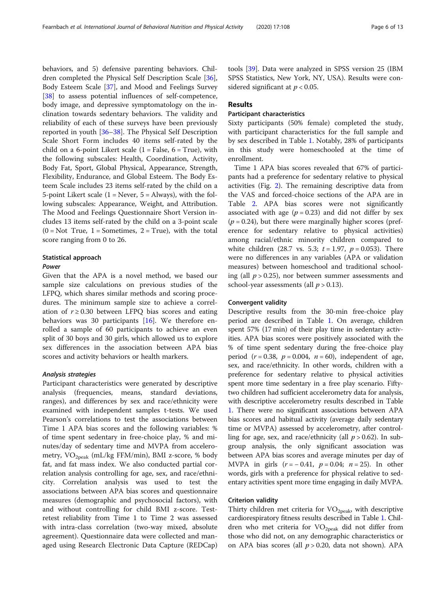behaviors, and 5) defensive parenting behaviors. Children completed the Physical Self Description Scale [\[36](#page-11-0)], Body Esteem Scale [[37\]](#page-11-0), and Mood and Feelings Survey [[38\]](#page-11-0) to assess potential influences of self-competence, body image, and depressive symptomatology on the inclination towards sedentary behaviors. The validity and reliability of each of these surveys have been previously reported in youth [[36](#page-11-0)–[38](#page-11-0)]. The Physical Self Description Scale Short Form includes 40 items self-rated by the child on a 6-point Likert scale  $(1 = False, 6 = True)$ , with the following subscales: Health, Coordination, Activity, Body Fat, Sport, Global Physical, Appearance, Strength, Flexibility, Endurance, and Global Esteem. The Body Esteem Scale includes 23 items self-rated by the child on a 5-point Likert scale  $(1 = \text{Never}, 5 = \text{Always})$ , with the following subscales: Appearance, Weight, and Attribution. The Mood and Feelings Questionnaire Short Version includes 13 items self-rated by the child on a 3-point scale  $(0 = Not True, 1 = Sometimes, 2 = True), with the total$ score ranging from 0 to 26.

## Statistical approach

## Power

Given that the APA is a novel method, we based our sample size calculations on previous studies of the LFPQ, which shares similar methods and scoring procedures. The minimum sample size to achieve a correlation of  $r \ge 0.30$  between LFPO bias scores and eating behaviors was 30 participants  $[16]$  $[16]$ . We therefore enrolled a sample of 60 participants to achieve an even split of 30 boys and 30 girls, which allowed us to explore sex differences in the association between APA bias scores and activity behaviors or health markers.

## Analysis strategies

Participant characteristics were generated by descriptive analysis (frequencies, means, standard deviations, ranges), and differences by sex and race/ethnicity were examined with independent samples t-tests. We used Pearson's correlations to test the associations between Time 1 APA bias scores and the following variables: % of time spent sedentary in free-choice play, % and minutes/day of sedentary time and MVPA from accelerometry,  $VO_{2peak}$  (mL/kg FFM/min), BMI z-score, % body fat, and fat mass index. We also conducted partial correlation analysis controlling for age, sex, and race/ethnicity. Correlation analysis was used to test the associations between APA bias scores and questionnaire measures (demographic and psychosocial factors), with and without controlling for child BMI z-score. Testretest reliability from Time 1 to Time 2 was assessed with intra-class correlation (two-way mixed, absolute agreement). Questionnaire data were collected and managed using Research Electronic Data Capture (REDCap)

tools [\[39](#page-11-0)]. Data were analyzed in SPSS version 25 (IBM SPSS Statistics, New York, NY, USA). Results were considered significant at  $p < 0.05$ .

## Results

## Participant characteristics

Sixty participants (50% female) completed the study, with participant characteristics for the full sample and by sex described in Table [1](#page-6-0). Notably, 28% of participants in this study were homeschooled at the time of enrollment.

Time 1 APA bias scores revealed that 67% of participants had a preference for sedentary relative to physical activities (Fig. [2\)](#page-6-0). The remaining descriptive data from the VAS and forced-choice sections of the APA are in Table [2](#page-7-0). APA bias scores were not significantly associated with age ( $p = 0.23$ ) and did not differ by sex  $(p = 0.24)$ , but there were marginally higher scores (preference for sedentary relative to physical activities) among racial/ethnic minority children compared to white children (28.7 vs. 5.3;  $t = 1.97$ ,  $p = 0.053$ ). There were no differences in any variables (APA or validation measures) between homeschool and traditional schooling (all  $p > 0.25$ ), nor between summer assessments and school-year assessments (all  $p > 0.13$ ).

## Convergent validity

Descriptive results from the 30-min free-choice play period are described in Table [1.](#page-6-0) On average, children spent 57% (17 min) of their play time in sedentary activities. APA bias scores were positively associated with the % of time spent sedentary during the free-choice play period  $(r = 0.38, p = 0.004, n = 60)$ , independent of age, sex, and race/ethnicity. In other words, children with a preference for sedentary relative to physical activities spent more time sedentary in a free play scenario. Fiftytwo children had sufficient accelerometry data for analysis, with descriptive accelerometry results described in Table [1.](#page-6-0) There were no significant associations between APA bias scores and habitual activity (average daily sedentary time or MVPA) assessed by accelerometry, after controlling for age, sex, and race/ethnicity (all  $p > 0.62$ ). In subgroup analysis, the only significant association was between APA bias scores and average minutes per day of MVPA in girls  $(r = -0.41, p = 0.04; n = 25)$ . In other words, girls with a preference for physical relative to sedentary activities spent more time engaging in daily MVPA.

## Criterion validity

Thirty children met criteria for  $\rm VO_{2peak}$ , with descriptive cardiorespiratory fitness results described in Table [1.](#page-6-0) Children who met criteria for  $VO_{2peak}$  did not differ from those who did not, on any demographic characteristics or on APA bias scores (all  $p > 0.20$ , data not shown). APA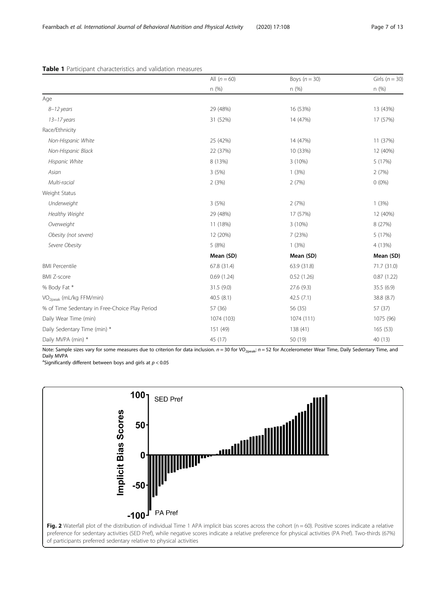|                                                                                                  | All $(n = 60)$ | Boys $(n = 30)$                                                | Girls $(n = 30)$ |  |
|--------------------------------------------------------------------------------------------------|----------------|----------------------------------------------------------------|------------------|--|
|                                                                                                  | n (%)          | n (%)                                                          | n (%)            |  |
| Age                                                                                              |                |                                                                |                  |  |
| 8-12 years                                                                                       | 29 (48%)       | 16 (53%)                                                       | 13 (43%)         |  |
| 13-17 years                                                                                      | 31 (52%)       | 14 (47%)                                                       | 17 (57%)         |  |
| Race/Ethnicity                                                                                   |                |                                                                |                  |  |
| Non-Hispanic White                                                                               | 25 (42%)       | 14 (47%)                                                       | 11 (37%)         |  |
| Non-Hispanic Black                                                                               | 22 (37%)       | 10 (33%)                                                       | 12 (40%)         |  |
| Hispanic White                                                                                   | 8 (13%)        | 3 (10%)                                                        | 5 (17%)          |  |
| Asian                                                                                            | 3(5%)          | 1(3%)                                                          | 2(7%)            |  |
| Multi-racial                                                                                     | 2(3%)          | 2(7%)                                                          | $0(0\%)$         |  |
| Weight Status                                                                                    |                |                                                                |                  |  |
| Underweight                                                                                      | 3(5%)          | 2(7%)                                                          | 1(3%)            |  |
| Healthy Weight                                                                                   | 29 (48%)       | 17 (57%)                                                       | 12 (40%)         |  |
| Overweight                                                                                       | 11 (18%)       | 3 (10%)                                                        | 8 (27%)          |  |
| Obesity (not severe)                                                                             | 12 (20%)       | 7 (23%)                                                        | 5 (17%)          |  |
| Severe Obesity                                                                                   | 5 (8%)         | 1(3%)                                                          | 4 (13%)          |  |
|                                                                                                  | Mean (SD)      | Mean (SD)                                                      | Mean (SD)        |  |
| <b>BMI Percentile</b>                                                                            | 67.8 (31.4)    | 63.9 (31.8)                                                    | 71.7 (31.0)      |  |
| <b>BMI Z-score</b>                                                                               | 0.69(1.24)     | 0.52(1.26)                                                     | 0.87(1.22)       |  |
| % Body Fat *                                                                                     | 31.5 (9.0)     | 27.6(9.3)                                                      | 35.5(6.9)        |  |
| VO <sub>2peak</sub> (mL/kg FFM/min)                                                              | 40.5 (8.1)     | 42.5(7.1)                                                      | 38.8 (8.7)       |  |
| % of Time Sedentary in Free-Choice Play Period                                                   | 57 (36)        | 56 (35)                                                        | 57 (37)          |  |
| Daily Wear Time (min)                                                                            | 1074 (103)     | 1074 (111)                                                     | 1075 (96)        |  |
| Daily Sedentary Time (min) *                                                                     | 151 (49)       | 138 (41)                                                       | 165 (53)         |  |
| Daily MVPA (min) *                                                                               | 45 (17)        | 50 (19)                                                        | 40 (13)          |  |
| Note: Sample sizes uany for same measures due to sriterian for data inclusion $n = 20$ for $1/0$ |                | in = 52 for Accelerameter Wear Time, Daily Sedentary Time, and |                  |  |

<span id="page-6-0"></span>Table 1 Participant characteristics and validation measures

vary for some measures due to criterion for data inclusion.  $n = 30$  for VO<sub>2peak</sub>;  $n = 52$  for Accelerometer Wear Time, Daily Sedentary Time, and Daily MVPA

<sup>a</sup>Significantly different between boys and girls at  $p < 0.05$ 

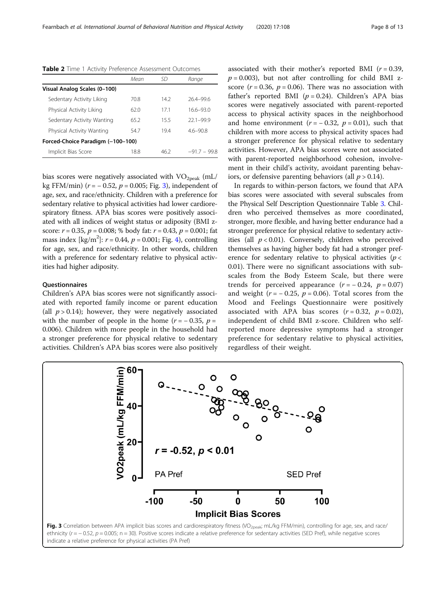|                                   | Mean | SD   | Range         |  |
|-----------------------------------|------|------|---------------|--|
| Visual Analog Scales (0-100)      |      |      |               |  |
| Sedentary Activity Liking         | 70.8 | 14.2 | $264 - 996$   |  |
| Physical Activity Liking          | 620  | 171  | $16.6 - 93.0$ |  |
| Sedentary Activity Wanting        | 65.2 | 155  | $22.1 - 99.9$ |  |
| Physical Activity Wanting         | 54.7 | 194  | $46 - 908$    |  |
| Forced-Choice Paradigm (-100-100) |      |      |               |  |
| Implicit Bias Score               | 18.8 | 46.2 | $-917 - 998$  |  |
|                                   |      |      |               |  |

<span id="page-7-0"></span>Table 2 Time 1 Activity Preference Assessment Outcomes

bias scores were negatively associated with  $VO<sub>2peak</sub>$  (mL/ kg FFM/min) ( $r = −0.52$ ,  $p = 0.005$ ; Fig. 3), independent of age, sex, and race/ethnicity. Children with a preference for sedentary relative to physical activities had lower cardiorespiratory fitness. APA bias scores were positively associated with all indices of weight status or adiposity (BMI zscore:  $r = 0.35$ ,  $p = 0.008$ ; % body fat:  $r = 0.43$ ,  $p = 0.001$ ; fat mass index [kg/m<sup>2</sup>]:  $r = 0.44$ ,  $p = 0.001$ ; Fig. [4\)](#page-8-0), controlling for age, sex, and race/ethnicity. In other words, children with a preference for sedentary relative to physical activities had higher adiposity.

## **Ouestionnaires**

Children's APA bias scores were not significantly associated with reported family income or parent education (all  $p > 0.14$ ); however, they were negatively associated with the number of people in the home  $(r = -0.35, p =$ 0.006). Children with more people in the household had a stronger preference for physical relative to sedentary activities. Children's APA bias scores were also positively associated with their mother's reported BMI  $(r = 0.39,$  $p = 0.003$ ), but not after controlling for child BMI zscore ( $r = 0.36$ ,  $p = 0.06$ ). There was no association with father's reported BMI ( $p = 0.24$ ). Children's APA bias scores were negatively associated with parent-reported access to physical activity spaces in the neighborhood and home environment  $(r = -0.32, p = 0.01)$ , such that children with more access to physical activity spaces had a stronger preference for physical relative to sedentary activities. However, APA bias scores were not associated with parent-reported neighborhood cohesion, involvement in their child's activity, avoidant parenting behaviors, or defensive parenting behaviors (all  $p > 0.14$ ).

In regards to within-person factors, we found that APA bias scores were associated with several subscales from the Physical Self Description Questionnaire Table [3](#page-8-0). Children who perceived themselves as more coordinated, stronger, more flexible, and having better endurance had a stronger preference for physical relative to sedentary activities (all  $p < 0.01$ ). Conversely, children who perceived themselves as having higher body fat had a stronger preference for sedentary relative to physical activities ( $p <$ 0.01). There were no significant associations with subscales from the Body Esteem Scale, but there were trends for perceived appearance  $(r = -0.24, p = 0.07)$ and weight ( $r = -0.25$ ,  $p = 0.06$ ). Total scores from the Mood and Feelings Questionnaire were positively associated with APA bias scores  $(r = 0.32, p = 0.02)$ , independent of child BMI z-score. Children who selfreported more depressive symptoms had a stronger preference for sedentary relative to physical activities, regardless of their weight.

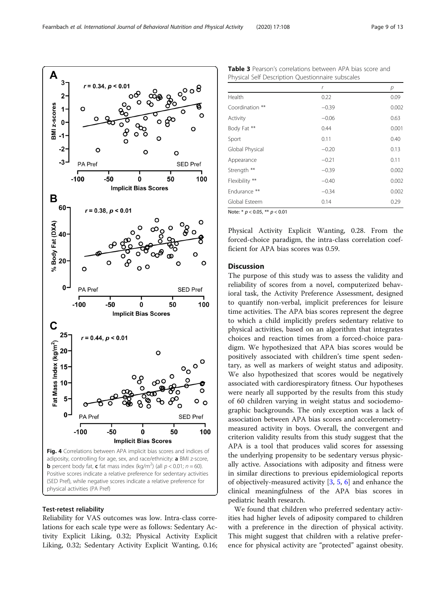Fig. 4 Correlations between APA implicit bias scores and indices of adiposity, controlling for age, sex, and race/ethnicity: **a** BMI z-score, **b** percent body fat, **c** fat mass index (kg/m<sup>2</sup>) (all  $p < 0.01$ ;  $n = 60$ ). Positive scores indicate a relative preference for sedentary activities (SED Pref), while negative scores indicate a relative preference for physical activities (PA Pref)

## Test-retest reliability

Reliability for VAS outcomes was low. Intra-class correlations for each scale type were as follows: Sedentary Activity Explicit Liking, 0.32; Physical Activity Explicit Liking, 0.32; Sedentary Activity Explicit Wanting, 0.16;

Physical Activity Explicit Wanting, 0.28. From the forced-choice paradigm, the intra-class correlation coefficient for APA bias scores was 0.59.

## **Discussion**

The purpose of this study was to assess the validity and reliability of scores from a novel, computerized behavioral task, the Activity Preference Assessment, designed to quantify non-verbal, implicit preferences for leisure time activities. The APA bias scores represent the degree to which a child implicitly prefers sedentary relative to physical activities, based on an algorithm that integrates choices and reaction times from a forced-choice paradigm. We hypothesized that APA bias scores would be positively associated with children's time spent sedentary, as well as markers of weight status and adiposity. We also hypothesized that scores would be negatively associated with cardiorespiratory fitness. Our hypotheses were nearly all supported by the results from this study of 60 children varying in weight status and sociodemographic backgrounds. The only exception was a lack of association between APA bias scores and accelerometrymeasured activity in boys. Overall, the convergent and criterion validity results from this study suggest that the APA is a tool that produces valid scores for assessing the underlying propensity to be sedentary versus physically active. Associations with adiposity and fitness were in similar directions to previous epidemiological reports of objectively-measured activity [[3,](#page-11-0) [5,](#page-11-0) [6\]](#page-11-0) and enhance the clinical meaningfulness of the APA bias scores in pediatric health research.

We found that children who preferred sedentary activities had higher levels of adiposity compared to children with a preference in the direction of physical activity. This might suggest that children with a relative preference for physical activity are "protected" against obesity.

<span id="page-8-0"></span>

| <b>Table 3</b> Pearson's correlations between APA bias score and |  |  |  |  |
|------------------------------------------------------------------|--|--|--|--|
| Physical Self Description Questionnaire subscales                |  |  |  |  |

|                                    | r       | р     |
|------------------------------------|---------|-------|
| Health                             | 0.22    | 0.09  |
| Coordination **                    | $-0.39$ | 0.002 |
| Activity                           | $-0.06$ | 0.63  |
| Body Fat **                        | 0.44    | 0.001 |
| Sport                              | 0.11    | 0.40  |
| Global Physical                    | $-0.20$ | 0.13  |
| Appearance                         | $-0.21$ | 0.11  |
| Strength **                        | $-0.39$ | 0.002 |
| Flexibility **                     | $-0.40$ | 0.002 |
| Endurance **                       | $-0.34$ | 0.002 |
| Global Esteem                      | 0.14    | 0.29  |
| Note: * $p < 0.05$ , ** $p < 0.01$ |         |       |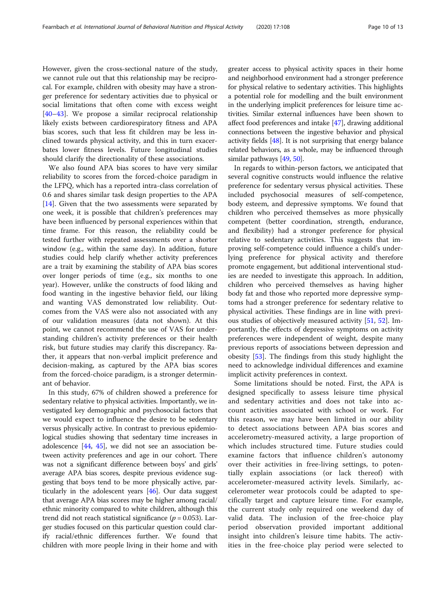However, given the cross-sectional nature of the study, we cannot rule out that this relationship may be reciprocal. For example, children with obesity may have a stronger preference for sedentary activities due to physical or social limitations that often come with excess weight [[40](#page-11-0)–[43](#page-12-0)]. We propose a similar reciprocal relationship likely exists between cardiorespiratory fitness and APA bias scores, such that less fit children may be less inclined towards physical activity, and this in turn exacerbates lower fitness levels. Future longitudinal studies should clarify the directionality of these associations.

We also found APA bias scores to have very similar reliability to scores from the forced-choice paradigm in the LFPQ, which has a reported intra-class correlation of 0.6 and shares similar task design properties to the APA [[14\]](#page-11-0). Given that the two assessments were separated by one week, it is possible that children's preferences may have been influenced by personal experiences within that time frame. For this reason, the reliability could be tested further with repeated assessments over a shorter window (e.g., within the same day). In addition, future studies could help clarify whether activity preferences are a trait by examining the stability of APA bias scores over longer periods of time (e.g., six months to one year). However, unlike the constructs of food liking and food wanting in the ingestive behavior field, our liking and wanting VAS demonstrated low reliability. Outcomes from the VAS were also not associated with any of our validation measures (data not shown). At this point, we cannot recommend the use of VAS for understanding children's activity preferences or their health risk, but future studies may clarify this discrepancy. Rather, it appears that non-verbal implicit preference and decision-making, as captured by the APA bias scores from the forced-choice paradigm, is a stronger determinant of behavior.

In this study, 67% of children showed a preference for sedentary relative to physical activities. Importantly, we investigated key demographic and psychosocial factors that we would expect to influence the desire to be sedentary versus physically active. In contrast to previous epidemiological studies showing that sedentary time increases in adolescence [[44](#page-12-0), [45\]](#page-12-0), we did not see an association between activity preferences and age in our cohort. There was not a significant difference between boys' and girls' average APA bias scores, despite previous evidence suggesting that boys tend to be more physically active, particularly in the adolescent years [[46](#page-12-0)]. Our data suggest that average APA bias scores may be higher among racial/ ethnic minority compared to white children, although this trend did not reach statistical significance ( $p = 0.053$ ). Larger studies focused on this particular question could clarify racial/ethnic differences further. We found that children with more people living in their home and with greater access to physical activity spaces in their home and neighborhood environment had a stronger preference for physical relative to sedentary activities. This highlights a potential role for modelling and the built environment in the underlying implicit preferences for leisure time activities. Similar external influences have been shown to affect food preferences and intake [\[47\]](#page-12-0), drawing additional connections between the ingestive behavior and physical activity fields [\[48](#page-12-0)]. It is not surprising that energy balance related behaviors, as a whole, may be influenced through similar pathways [\[49,](#page-12-0) [50\]](#page-12-0).

In regards to within-person factors, we anticipated that several cognitive constructs would influence the relative preference for sedentary versus physical activities. These included psychosocial measures of self-competence, body esteem, and depressive symptoms. We found that children who perceived themselves as more physically competent (better coordination, strength, endurance, and flexibility) had a stronger preference for physical relative to sedentary activities. This suggests that improving self-competence could influence a child's underlying preference for physical activity and therefore promote engagement, but additional interventional studies are needed to investigate this approach. In addition, children who perceived themselves as having higher body fat and those who reported more depressive symptoms had a stronger preference for sedentary relative to physical activities. These findings are in line with previous studies of objectively measured activity [[51,](#page-12-0) [52\]](#page-12-0). Importantly, the effects of depressive symptoms on activity preferences were independent of weight, despite many previous reports of associations between depression and obesity [\[53](#page-12-0)]. The findings from this study highlight the need to acknowledge individual differences and examine implicit activity preferences in context.

Some limitations should be noted. First, the APA is designed specifically to assess leisure time physical and sedentary activities and does not take into account activities associated with school or work. For this reason, we may have been limited in our ability to detect associations between APA bias scores and accelerometry-measured activity, a large proportion of which includes structured time. Future studies could examine factors that influence children's autonomy over their activities in free-living settings, to potentially explain associations (or lack thereof) with accelerometer-measured activity levels. Similarly, accelerometer wear protocols could be adapted to specifically target and capture leisure time. For example, the current study only required one weekend day of valid data. The inclusion of the free-choice play period observation provided important additional insight into children's leisure time habits. The activities in the free-choice play period were selected to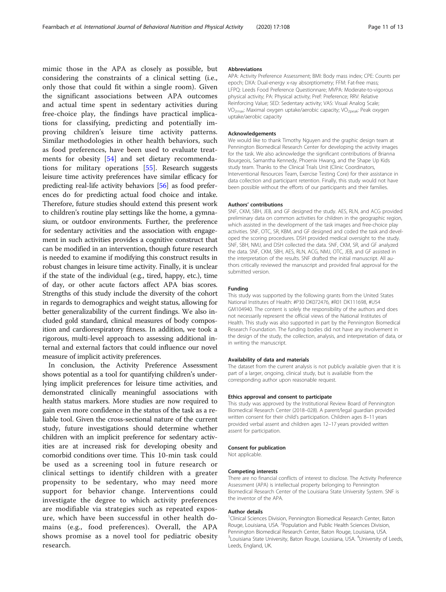mimic those in the APA as closely as possible, but considering the constraints of a clinical setting (i.e., only those that could fit within a single room). Given the significant associations between APA outcomes and actual time spent in sedentary activities during free-choice play, the findings have practical implications for classifying, predicting and potentially improving children's leisure time activity patterns. Similar methodologies in other health behaviors, such as food preferences, have been used to evaluate treatments for obesity [[54\]](#page-12-0) and set dietary recommendations for military operations [[55\]](#page-12-0). Research suggests leisure time activity preferences have similar efficacy for predicting real-life activity behaviors [[56](#page-12-0)] as food preferences do for predicting actual food choice and intake. Therefore, future studies should extend this present work to children's routine play settings like the home, a gymnasium, or outdoor environments. Further, the preference for sedentary activities and the association with engagement in such activities provides a cognitive construct that can be modified in an intervention, though future research is needed to examine if modifying this construct results in robust changes in leisure time activity. Finally, it is unclear if the state of the individual (e.g., tired, happy, etc.), time of day, or other acute factors affect APA bias scores. Strengths of this study include the diversity of the cohort in regards to demographics and weight status, allowing for better generalizability of the current findings. We also included gold standard, clinical measures of body composition and cardiorespiratory fitness. In addition, we took a rigorous, multi-level approach to assessing additional internal and external factors that could influence our novel measure of implicit activity preferences.

In conclusion, the Activity Preference Assessment shows potential as a tool for quantifying children's underlying implicit preferences for leisure time activities, and demonstrated clinically meaningful associations with health status markers. More studies are now required to gain even more confidence in the status of the task as a reliable tool. Given the cross-sectional nature of the current study, future investigations should determine whether children with an implicit preference for sedentary activities are at increased risk for developing obesity and comorbid conditions over time. This 10-min task could be used as a screening tool in future research or clinical settings to identify children with a greater propensity to be sedentary, who may need more support for behavior change. Interventions could investigate the degree to which activity preferences are modifiable via strategies such as repeated exposure, which have been successful in other health domains (e.g., food preferences). Overall, the APA shows promise as a novel tool for pediatric obesity research.

#### Abbreviations

APA: Activity Preference Assessment; BMI: Body mass index; CPE: Counts per epoch; DXA: Dual-energy x-ray absorptiometry; FFM: Fat-free mass; LFPQ: Leeds Food Preference Questionnare; MVPA: Moderate-to-vigorous physical activity; PA: Physical activity; Pref: Preference; RRV: Relative Reinforcing Value; SED: Sedentary activity; VAS: Visual Analog Scale; VO<sub>2max</sub>: Maximal oxygen uptake/aerobic capacity; VO<sub>2peak</sub>: Peak oxygen uptake/aerobic capacity

#### Acknowledgements

We would like to thank Timothy Nguyen and the graphic design team at Pennington Biomedical Research Center for developing the activity images for the task. We also acknowledge the significant contributions of Brianna Bourgeois, Samantha Kennedy, Phoenix Hwang, and the Shape Up Kids study team. Thanks to the Clinical Trials Unit (Clinic Coordinators, Interventional Resources Team, Exercise Testing Core) for their assistance in data collection and participant retention. Finally, this study would not have been possible without the efforts of our participants and their families.

#### Authors' contributions

SNF, CKM, SBH, JEB, and GF designed the study. AES, RLN, and ACG provided preliminary data on common activities for children in the geographic region, which assisted in the development of the task images and free-choice play activities. SNF, OTC, SR, KBM, and GF designed and coded the task and developed the scoring procedures. DSH provided medical oversight to the study. SNF, SBH, NMJ, and DSH collected the data. SNF, CKM, SR, and GF analyzed the data. SNF, CKM, SBH, AES, RLN, ACG, NMJ, OTC, JEB, and GF assisted in the interpretation of the results. SNF drafted the initial manuscript. All authors critically reviewed the manuscript and provided final approval for the submitted version.

#### Funding

This study was supported by the following grants from the United States National Institutes of Health: #P30 DK072476, #R01 DK111698, #U54 GM104940. The content is solely the responsibility of the authors and does not necessarily represent the official views of the National Institutes of Health. This study was also supported in part by the Pennington Biomedical Research Foundation. The funding bodies did not have any involvement in the design of the study, the collection, analysis, and interpretation of data, or in writing the manuscript.

#### Availability of data and materials

The dataset from the current analysis is not publicly available given that it is part of a larger, ongoing, clinical study, but is available from the corresponding author upon reasonable request.

#### Ethics approval and consent to participate

This study was approved by the Institutional Review Board of Pennington Biomedical Research Center (2018–028). A parent/legal guardian provided written consent for their child's participation. Children ages 8–11 years provided verbal assent and children ages 12–17 years provided written assent for participation.

#### Consent for publication

Not applicable.

#### Competing interests

There are no financial conflicts of interest to disclose. The Activity Preference Assessment (APA) is intellectual property belonging to Pennington Biomedical Research Center of the Louisiana State University System. SNF is the inventor of the APA.

#### Author details

<sup>1</sup> Clinical Sciences Division, Pennington Biomedical Research Center, Baton Rouge, Louisiana, USA. <sup>2</sup> Population and Public Health Sciences Division, Pennington Biomedical Research Center, Baton Rouge, Louisiana, USA. <sup>3</sup>Louisiana State University, Baton Rouge, Louisiana, USA. <sup>4</sup>University of Leeds Leeds, England, UK.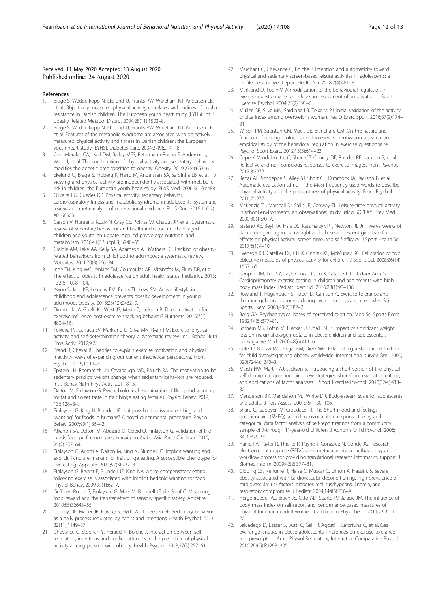#### <span id="page-11-0"></span>Received: 11 May 2020 Accepted: 13 August 2020 Published online: 24 August 2020

#### References

- 1. Brage S, Wedderkopp N, Ekelund U, Franks PW, Wareham NJ, Andersen LB, et al. Objectively measured physical activity correlates with indices of insulin resistance in Danish children. The European youth heart study (EYHS). Int J obesity Related Metabol Disord. 2004;28(11):1503–8.
- 2. Brage S, Wedderkopp N, Ekelund U, Franks PW, Wareham NJ, Andersen LB, et al. Features of the metabolic syndrome are associated with objectively measured physical activity and fitness in Danish children: the European youth heart study (EYHS). Diabetes Care. 2004;27(9):2141–8.
- 3. Celis-Morales CA, Lyall DM, Bailey MES, Petermann-Rocha F, Anderson J, Ward J, et al. The combination of physical activity and sedentary behaviors modifies the genetic predisposition to obesity. Obesity. 2019;27(4):653–61.
- 4. Ekelund U, Brage S, Froberg K, Harro M, Anderssen SA, Sardinha LB, et al. TV viewing and physical activity are independently associated with metabolic risk in children: the European youth heart study. PLoS Med. 2006;3(12):e488.
- 5. Oliveira RG, Guedes DP. Physical activity, sedentary behavior, cardiorespiratory fitness and metabolic syndrome in adolescents: systematic review and meta-analysis of observational evidence. PLoS One. 2016;11(12): e0168503.
- 6. Carson V, Hunter S, Kuzik N, Gray CE, Poitras VJ, Chaput JP, et al. Systematic review of sedentary behaviour and health indicators in school-aged children and youth: an update. Applied physiology, nutrition, and metabolism. 2016;41(6 Suppl 3):S240–65.
- 7. Craigie AM, Lake AA, Kelly SA, Adamson AJ, Mathers JC. Tracking of obesityrelated behaviours from childhood to adulthood: a systematic review. Maturitas. 2011;70(3):266–84.
- 8. Inge TH, King WC, Jenkins TM, Courcoulas AP, Mitsnefes M, Flum DR, et al. The effect of obesity in adolescence on adult health status. Pediatrics. 2013; 132(6):1098–104.
- Kwon S, Janz KF, Letuchy EM, Burns TL, Levy SM. Active lifestyle in childhood and adolescence prevents obesity development in young adulthood. Obesity. 2015;23(12):2462–9.
- 10. Dimmock JA, Guelfi KJ, West JS, Masih T, Jackson B. Does motivation for exercise influence post-exercise snacking behavior? Nutrients. 2015;7(6): 4804–16.
- 11. Teixeira PJ, Carraca EV, Markland D, Silva MN, Ryan RM. Exercise, physical activity, and self-determination theory: a systematic review. Int J Behav Nutri Phys Activ. 2012;9:78.
- 12. Brand R, Cheval B. Theories to explain exercise motivation and physical inactivity: ways of expanding our current theoretical perspective. Front Psychol. 2019;10:1147.
- 13. Epstein LH, Roemmich JN, Cavanaugh MD, Paluch RA. The motivation to be sedentary predicts weight change when sedentary behaviors are reduced. Int J Behav Nutri Phys Activ. 2011;8:13.
- 14. Dalton M, Finlayson G. Psychobiological examination of liking and wanting for fat and sweet taste in trait binge eating females. Physiol Behav. 2014; 136:128–34.
- 15. Finlayson G, King N, Blundell JE. Is it possible to dissociate 'liking' and 'wanting' for foods in humans? A novel experimental procedure. Physiol Behav. 2007;90(1):36–42.
- 16. Alkahtni SA, Dalton M, Abuzaid O, Obeid O, Finlayson G. Validation of the Leeds food preference questionnaire in Arabs. Asia Pac J Clin Nutr. 2016; 25(2):257–64.
- 17. Finlayson G, Arlotti A, Dalton M, King N, Blundell JE. Implicit wanting and explicit liking are markers for trait binge eating. A susceptible phenotype for overeating. Appetite. 2011;57(3):722–8.
- 18. Finlayson G, Bryant E, Blundell JE, King NA. Acute compensatory eating following exercise is associated with implicit hedonic wanting for food. Physiol Behav. 2009;97(1):62–7.
- 19. Griffioen-Roose S, Finlayson G, Mars M, Blundell JE, de Graaf C. Measuring food reward and the transfer effect of sensory specific satiety. Appetite. 2010;55(3):648–55.
- 20. Conroy DE, Maher JP, Elavsky S, Hyde AL, Doerksen SE. Sedentary behavior as a daily process regulated by habits and intentions. Health Psychol. 2013; 32(11):1149–57.
- 21. Chevance G, Stephan Y, Heraud N, Boiche J. Interaction between selfregulation, intentions and implicit attitudes in the prediction of physical activity among persons with obesity. Health Psychol. 2018;37(3):257–61.
- 22. Marchant G, Chevance G, Boiche J. Intention and automaticity toward physical and sedentary screen-based leisure activities in adolescents: a profile perspective. J Sport Health Sci. 2018;7(4):481–8.
- 23. Markland D, Tobin V. A modification to the behavioural regulation in exercise questionnaire to include an assessment of amotivation. J Sport Exercise Psychol. 2004;26(2):191–6.
- 24. Mullen SP, Silva MN, Sardinha LB, Teixeira PJ. Initial validation of the activity choice index among overweight women. Res Q Exerc Sport. 2016;87(2):174– 81.
- 25. Wilson PM, Sabiston CM, Mack DE, Blanchard CM. On the nature and function of scoring protocols used in exercise motivation research: an empirical study of the behavioral regulation in exercise questionnaire. Psychol Sport Exerc. 2012;13(5):614–22.
- 26. Cope K, Vandelanotte C, Short CE, Conroy DE, Rhodes RE, Jackson B, et al. Reflective and non-conscious responses to exercise images. Front Psychol. 2017;8:2272.
- 27. Rebar AL, Schoeppe S, Alley SJ, Short CE, Dimmock JA, Jackson B, et al. Automatic evaluation stimuli - the Most frequently used words to describe physical activity and the pleasantness of physical activity. Front Psychol. 2016;7:1277.
- 28. McKenzie TL, Marshall SJ, Sallis JF, Conway TL. Leisure-time physical activity in school environments: an observational study using SOPLAY. Prev Med. 2000;30(1):70–7.
- 29. Staiano AE, Beyl RA, Hsia DS, Katzmarzyk PT, Newton RL Jr. Twelve weeks of dance exergaming in overweight and obese adolescent girls: transfer effects on physical activity, screen time, and self-efficacy. J Sport Health Sci. 2017;6(1):4–10.
- 30. Evenson KR, Catellier DJ, Gill K, Ondrak KS, McMurray RG. Calibration of two objective measures of physical activity for children. J Sports Sci. 2008;26(14): 1557–65.
- 31. Cooper DM, Leu SY, Taylor-Lucas C, Lu K, Galassetti P, Radom-Aizik S. Cardiopulmonary exercise testing in children and adolescents with high body mass index. Pediatr Exerc Sci. 2016;28(1):98–108.
- 32. Rowland T, Hagenbuch S, Pober D, Garrison A. Exercise tolerance and thermoregulatory responses during cycling in boys and men. Med Sci Sports Exerc. 2008;40(2):282–7.
- 33. Borg GA. Psychophysical bases of perceived exertion. Med Sci Sports Exerc. 1982;14(5):377–81.
- 34. Sothern MS, Loftin M, Blecker U, Udall JN Jr. Impact of significant weight loss on maximal oxygen uptake in obese children and adolescents. J Investigative Med. 2000;48(6):411–6.
- 35. Cole TJ, Bellizzi MC, Flegal KM, Dietz WH. Establishing a standard definition for child overweight and obesity worldwide: international survey. Bmj. 2000; 320(7244):1240–3.
- 36. Marsh HW, Martin AJ, Jackson S. Introducing a short version of the physical self description questionnaire: new strategies, short-form evaluative criteria, and applications of factor analyses. J Sport Exercise Psychol. 2010;32(4):438– 82.
- 37. Mendelson BK, Mendelson MJ, White DR. Body-esteem scale for adolescents and adults. J Pers Assess. 2001;76(1):90–106.
- 38. Sharp C, Goodyer IM, Croudace TJ. The Short mood and feelings questionnaire (SMFQ): a unidimensional item response theory and categorical data factor analysis of self-report ratings from a community sample of 7-through 11-year-old children. J Abnorm Child Psychol. 2006; 34(3):379–91.
- 39. Harris PA, Taylor R, Thielke R, Payne J, Gonzalez N, Conde JG. Research electronic data capture (REDCap)--a metadata-driven methodology and workflow process for providing translational research informatics support. J Biomed Inform. 2009;42(2):377–81.
- 40. Gidding SS, Nehgme R, Heise C, Muscar C, Linton A, Hassink S. Severe obesity associated with cardiovascular deconditioning, high prevalence of cardiovascular risk factors, diabetes mellitus/hyperinsulinemia, and respiratory compromise. J Pediatr. 2004;144(6):766–9.
- 41. Hergenroeder AL, Brach JS, Otto AD, Sparto PJ, Jakicic JM. The influence of body mass index on self-report and performance-based measures of physical function in adult women. Cardiopulm Phys Ther J. 2011;22(3):11– 20.
- 42. Salvadego D, Lazzer S, Busti C, Galli R, Agosti F, Lafortuna C, et al. Gas exchange kinetics in obese adolescents. Inferences on exercise tolerance and prescription. Am J Physiol Regulatory, Integrative Comparative Physiol. 2010;299(5):R1298–305.